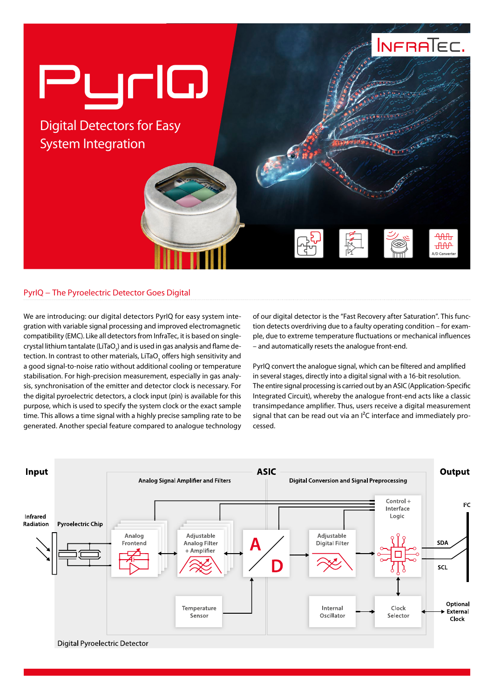

## PyrIQ − The Pyroelectric Detector Goes Digital

We are introducing: our digital detectors PyrIQ for easy system integration with variable signal processing and improved electromagnetic compatibility (EMC). Like all detectors from InfraTec, it is based on singlecrystal lithium tantalate (LiTaO $_{\tiny 3}$ ) and is used in gas analysis and flame detection. In contrast to other materials, LiTaO $_{_3}$  offers high sensitivity and a good signal-to-noise ratio without additional cooling or temperature stabilisation. For high-precision measurement, especially in gas analysis, synchronisation of the emitter and detector clock is necessary. For the digital pyroelectric detectors, a clock input (pin) is available for this purpose, which is used to specify the system clock or the exact sample time. This allows a time signal with a highly precise sampling rate to be generated. Another special feature compared to analogue technology

of our digital detector is the "Fast Recovery after Saturation". This function detects overdriving due to a faulty operating condition – for example, due to extreme temperature fluctuations or mechanical influences – and automatically resets the analogue front-end.

PyrIQ convert the analogue signal, which can be filtered and amplified in several stages, directly into a digital signal with a 16-bit resolution. The entire signal processing is carried out by an ASIC (Application-Specific Integrated Circuit), whereby the analogue front-end acts like a classic transimpedance amplifier. Thus, users receive a digital measurement signal that can be read out via an I<sup>2</sup>C interface and immediately processed.